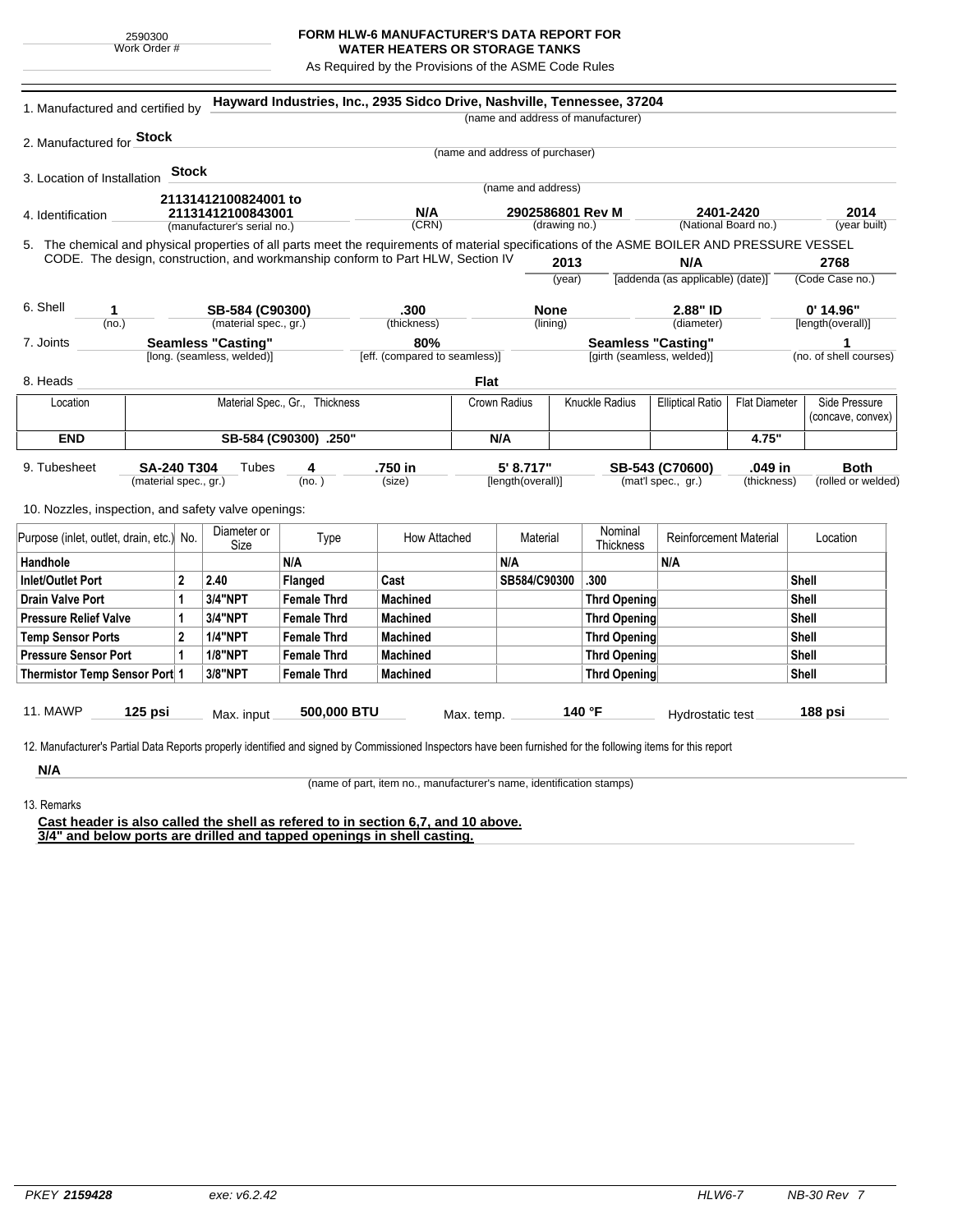## **FORM HLW-6 MANUFACTURER'S DATA REPORT FOR WATER HEATERS OR STORAGE TANKS**

As Required by the Provisions of the ASME Code Rules

| 1. Manufactured and certified by                                                                                                                              |                           |                                |                       | Hayward Industries, Inc., 2935 Sidco Drive, Nashville, Tennessee, 37204         |                                 |                           |                                    |                                  |                                       |                        |
|---------------------------------------------------------------------------------------------------------------------------------------------------------------|---------------------------|--------------------------------|-----------------------|---------------------------------------------------------------------------------|---------------------------------|---------------------------|------------------------------------|----------------------------------|---------------------------------------|------------------------|
|                                                                                                                                                               |                           |                                |                       |                                                                                 |                                 |                           | (name and address of manufacturer) |                                  |                                       |                        |
| 2. Manufactured for <b>Stock</b>                                                                                                                              |                           |                                |                       |                                                                                 |                                 |                           |                                    |                                  |                                       |                        |
|                                                                                                                                                               |                           |                                |                       |                                                                                 | (name and address of purchaser) |                           |                                    |                                  |                                       |                        |
| 3. Location of Installation                                                                                                                                   | Stock                     |                                |                       |                                                                                 |                                 |                           |                                    |                                  |                                       |                        |
|                                                                                                                                                               |                           | 21131412100824001 to           |                       |                                                                                 |                                 | (name and address)        |                                    |                                  |                                       |                        |
| 4. Identification                                                                                                                                             |                           | 21131412100843001              |                       | N/A                                                                             |                                 | 2902586801 Rev M          |                                    |                                  | 2401-2420                             | 2014                   |
|                                                                                                                                                               |                           | (manufacturer's serial no.)    |                       | (CRN)                                                                           |                                 | (drawing no.)             |                                    |                                  | (National Board no.)                  | (year built)           |
| 5. The chemical and physical properties of all parts meet the requirements of material specifications of the ASME BOILER AND PRESSURE VESSEL                  |                           |                                |                       | CODE. The design, construction, and workmanship conform to Part HLW, Section IV |                                 |                           |                                    |                                  |                                       |                        |
|                                                                                                                                                               |                           |                                |                       |                                                                                 | 2013                            |                           | N/A                                |                                  | 2768<br>(Code Case no.)               |                        |
|                                                                                                                                                               |                           |                                |                       |                                                                                 |                                 | (year)                    |                                    | [addenda (as applicable) (date)] |                                       |                        |
| 6. Shell<br>1                                                                                                                                                 |                           |                                | SB-584 (C90300)       | .300                                                                            |                                 | <b>None</b>               |                                    | 2.88" ID                         |                                       | $0'$ 14.96"            |
| (no.)                                                                                                                                                         |                           |                                | (material spec., gr.) | (thickness)                                                                     |                                 | (lining)                  |                                    | (diameter)                       |                                       | [length(overall)]      |
| 7. Joints                                                                                                                                                     | <b>Seamless "Casting"</b> |                                |                       | 80%                                                                             |                                 | <b>Seamless "Casting"</b> |                                    |                                  |                                       |                        |
|                                                                                                                                                               |                           | [long. (seamless, welded)]     |                       | [eff. (compared to seamless)]                                                   |                                 |                           | [girth (seamless, welded)]         |                                  |                                       | (no. of shell courses) |
| 8. Heads                                                                                                                                                      |                           |                                |                       |                                                                                 | <b>Flat</b>                     |                           |                                    |                                  |                                       |                        |
| Location                                                                                                                                                      |                           | Material Spec., Gr., Thickness |                       | Crown Radius                                                                    |                                 | Knuckle Radius            | <b>Elliptical Ratio</b>            |                                  | Side Pressure<br><b>Flat Diameter</b> |                        |
|                                                                                                                                                               |                           |                                |                       |                                                                                 |                                 |                           |                                    |                                  | (concave, convex)                     |                        |
| <b>END</b>                                                                                                                                                    | SB-584 (C90300) .250"     |                                |                       |                                                                                 | N/A                             |                           |                                    |                                  | 4.75"                                 |                        |
| 9. Tubesheet<br><b>SA-240 T304</b><br>(material spec., gr.)                                                                                                   |                           | Tubes<br>4                     |                       | .750 in                                                                         |                                 | 5' 8.717"                 |                                    | SB-543 (C70600)                  | .049 in                               | <b>Both</b>            |
|                                                                                                                                                               |                           |                                | (no.)                 | (size)                                                                          | [length(overall)]               |                           | (mat'l spec., gr.)                 |                                  | (thickness)                           | (rolled or welded)     |
| 10. Nozzles, inspection, and safety valve openings:                                                                                                           |                           |                                |                       |                                                                                 |                                 |                           |                                    |                                  |                                       |                        |
|                                                                                                                                                               |                           |                                |                       |                                                                                 |                                 |                           |                                    |                                  |                                       |                        |
| Purpose (inlet, outlet, drain, etc.) No.                                                                                                                      |                           | Diameter or<br>Size            | Type                  | How Attached                                                                    |                                 | Material                  | Nominal<br>Thickness               | <b>Reinforcement Material</b>    |                                       | Location               |
| Handhole                                                                                                                                                      |                           |                                | N/A                   |                                                                                 | N/A                             |                           |                                    | N/A                              |                                       |                        |
| <b>Inlet/Outlet Port</b>                                                                                                                                      | $\overline{2}$            | 2.40                           | Flanged               | Cast                                                                            |                                 | SB584/C90300              | .300                               |                                  |                                       | Shell                  |
| <b>Drain Valve Port</b>                                                                                                                                       | 1                         | 3/4"NPT                        | <b>Female Thrd</b>    | <b>Machined</b>                                                                 |                                 |                           | <b>Thrd Opening</b>                |                                  |                                       | Shell                  |
| <b>Pressure Relief Valve</b>                                                                                                                                  | $\mathbf{1}$              | 3/4"NPT                        | <b>Female Thrd</b>    | <b>Machined</b>                                                                 |                                 |                           | <b>Thrd Opening</b>                |                                  |                                       | Shell                  |
| <b>Temp Sensor Ports</b>                                                                                                                                      | $\overline{2}$            | <b>1/4"NPT</b>                 | <b>Female Thrd</b>    | <b>Machined</b>                                                                 |                                 |                           | <b>Thrd Opening</b>                |                                  |                                       | Shell                  |
| <b>Pressure Sensor Port</b><br>$\mathbf 1$                                                                                                                    |                           | <b>1/8"NPT</b>                 | <b>Female Thrd</b>    | <b>Machined</b>                                                                 |                                 |                           | <b>Thrd Opening</b>                |                                  |                                       | Shell                  |
| Thermistor Temp Sensor Port 1                                                                                                                                 |                           | 3/8"NPT                        | <b>Female Thrd</b>    | <b>Machined</b>                                                                 |                                 |                           | <b>Thrd Opening</b>                |                                  |                                       | Shell                  |
|                                                                                                                                                               |                           |                                |                       |                                                                                 |                                 |                           |                                    |                                  |                                       |                        |
| <b>11. MAWP</b>                                                                                                                                               | $125$ psi                 | Max. input                     | 500,000 BTU           |                                                                                 | Max. temp.                      |                           | 140 °F                             | Hydrostatic test                 |                                       | 188 psi                |
|                                                                                                                                                               |                           |                                |                       |                                                                                 |                                 |                           |                                    |                                  |                                       |                        |
| 12. Manufacturer's Partial Data Reports properly identified and signed by Commissioned Inspectors have been furnished for the following items for this report |                           |                                |                       |                                                                                 |                                 |                           |                                    |                                  |                                       |                        |
|                                                                                                                                                               |                           |                                |                       |                                                                                 |                                 |                           |                                    |                                  |                                       |                        |

13. Remarks

(name of part, item no., manufacturer's name, identification stamps)

**Cast header is also called the shell as refered to in section 6,7, and 10 above. 3/4" and below ports are drilled and tapped openings in shell casting.**